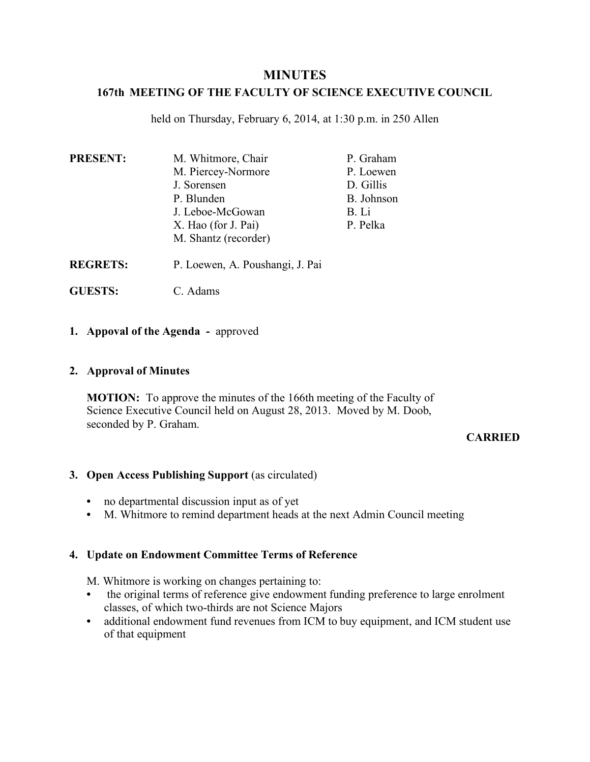# **MINUTES**

## **167th MEETING OF THE FACULTY OF SCIENCE EXECUTIVE COUNCIL**

held on Thursday, February 6, 2014, at 1:30 p.m. in 250 Allen

| <b>PRESENT:</b> | M. Whitmore, Chair   | P. Graham  |
|-----------------|----------------------|------------|
|                 | M. Piercey-Normore   | P. Loewen  |
|                 | J. Sorensen          | D. Gillis  |
|                 | P. Blunden           | B. Johnson |
|                 | J. Leboe-McGowan     | B. Li      |
|                 | X. Hao (for J. Pai)  | P. Pelka   |
|                 | M. Shantz (recorder) |            |

- **REGRETS:** P. Loewen, A. Poushangi, J. Pai
- **GUESTS:** C. Adams

## **1. Appoval of the Agenda -** approved

## **2. Approval of Minutes**

**MOTION:** To approve the minutes of the 166th meeting of the Faculty of Science Executive Council held on August 28, 2013. Moved by M. Doob, seconded by P. Graham.

## **CARRIED**

## **3. Open Access Publishing Support** (as circulated)

- **•** no departmental discussion input as of yet
- **•** M. Whitmore to remind department heads at the next Admin Council meeting

## **4. Update on Endowment Committee Terms of Reference**

M. Whitmore is working on changes pertaining to:

- the original terms of reference give endowment funding preference to large enrolment classes, of which two-thirds are not Science Majors
- **•** additional endowment fund revenues from ICM to buy equipment, and ICM student use of that equipment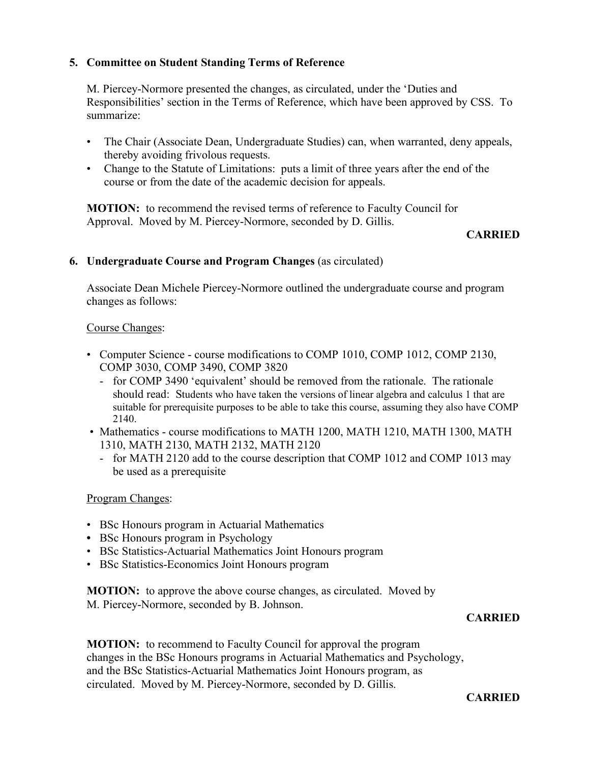## **5. Committee on Student Standing Terms of Reference**

M. Piercey-Normore presented the changes, as circulated, under the 'Duties and Responsibilities' section in the Terms of Reference, which have been approved by CSS. To summarize:

- The Chair (Associate Dean, Undergraduate Studies) can, when warranted, deny appeals, thereby avoiding frivolous requests.
- Change to the Statute of Limitations: puts a limit of three years after the end of the course or from the date of the academic decision for appeals.

**MOTION:** to recommend the revised terms of reference to Faculty Council for Approval. Moved by M. Piercey-Normore, seconded by D. Gillis.

## **CARRIED**

## **6. Undergraduate Course and Program Changes** (as circulated)

Associate Dean Michele Piercey-Normore outlined the undergraduate course and program changes as follows:

## Course Changes:

- Computer Science course modifications to COMP 1010, COMP 1012, COMP 2130, COMP 3030, COMP 3490, COMP 3820
	- for COMP 3490 'equivalent' should be removed from the rationale. The rationale should read: Students who have taken the versions of linear algebra and calculus 1 that are suitable for prerequisite purposes to be able to take this course, assuming they also have COMP 2140.
- Mathematics course modifications to MATH 1200, MATH 1210, MATH 1300, MATH 1310, MATH 2130, MATH 2132, MATH 2120
	- for MATH 2120 add to the course description that COMP 1012 and COMP 1013 may be used as a prerequisite

## Program Changes:

- BSc Honours program in Actuarial Mathematics
- **•** BSc Honours program in Psychology
- BSc Statistics-Actuarial Mathematics Joint Honours program
- BSc Statistics-Economics Joint Honours program

**MOTION:** to approve the above course changes, as circulated. Moved by M. Piercey-Normore, seconded by B. Johnson.

## **CARRIED**

**MOTION:** to recommend to Faculty Council for approval the program changes in the BSc Honours programs in Actuarial Mathematics and Psychology, and the BSc Statistics-Actuarial Mathematics Joint Honours program, as circulated. Moved by M. Piercey-Normore, seconded by D. Gillis.

**CARRIED**